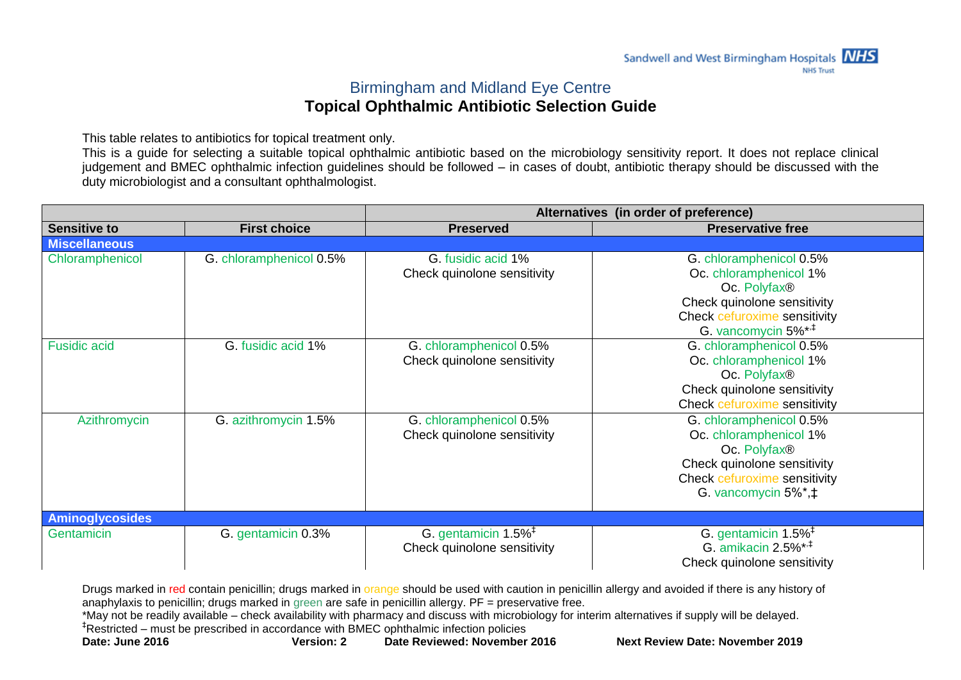## Birmingham and Midland Eye Centre **Topical Ophthalmic Antibiotic Selection Guide**

This table relates to antibiotics for topical treatment only.

This is a guide for selecting a suitable topical ophthalmic antibiotic based on the microbiology sensitivity report. It does not replace clinical judgement and BMEC ophthalmic infection guidelines should be followed – in cases of doubt, antibiotic therapy should be discussed with the duty microbiologist and a consultant ophthalmologist.

|                        |                         | Alternatives (in order of preference)                                                 |                                                                                                                                                                     |  |
|------------------------|-------------------------|---------------------------------------------------------------------------------------|---------------------------------------------------------------------------------------------------------------------------------------------------------------------|--|
| <b>Sensitive to</b>    | <b>First choice</b>     | <b>Preserved</b>                                                                      | <b>Preservative free</b>                                                                                                                                            |  |
| <b>Miscellaneous</b>   |                         |                                                                                       |                                                                                                                                                                     |  |
| Chloramphenicol        | G. chloramphenicol 0.5% | G. fusidic acid 1%<br>Check quinolone sensitivity                                     | G. chloramphenicol 0.5%<br>Oc. chloramphenicol 1%<br>Oc. Polyfax®<br>Check quinolone sensitivity<br>Check cefuroxime sensitivity<br>G. vancomycin 5%* <sup>**</sup> |  |
| <b>Fusidic acid</b>    | G. fusidic acid 1%      | G. chloramphenicol 0.5%<br>Check quinolone sensitivity                                | G. chloramphenicol 0.5%<br>Oc. chloramphenicol 1%<br>Oc. Polyfax®<br>Check quinolone sensitivity<br>Check cefuroxime sensitivity                                    |  |
| Azithromycin           | G. azithromycin 1.5%    | G. chloramphenicol 0.5%<br>Check quinolone sensitivity                                | G. chloramphenicol 0.5%<br>Oc. chloramphenicol 1%<br>Oc. Polyfax®<br>Check quinolone sensitivity<br>Check cefuroxime sensitivity<br>G. vancomycin 5%*,‡             |  |
| <b>Aminoglycosides</b> |                         |                                                                                       |                                                                                                                                                                     |  |
| Gentamicin             | G. gentamicin 0.3%      | G. gentamicin $1.5\%$ <sup><math>\ddagger</math></sup><br>Check quinolone sensitivity | G. gentamicin 1.5% <sup>+</sup><br>G. amikacin $2.5\%$ *, <sup>‡</sup><br>Check quinolone sensitivity                                                               |  |

Drugs marked in red contain penicillin; drugs marked in orange should be used with caution in penicillin allergy and avoided if there is any history of anaphylaxis to penicillin; drugs marked in green are safe in penicillin allergy. PF = preservative free.

\*May not be readily available – check availability with pharmacy and discuss with microbiology for interim alternatives if supply will be delayed. ‡Restricted – must be prescribed in accordance with BMEC ophthalmic infection policies